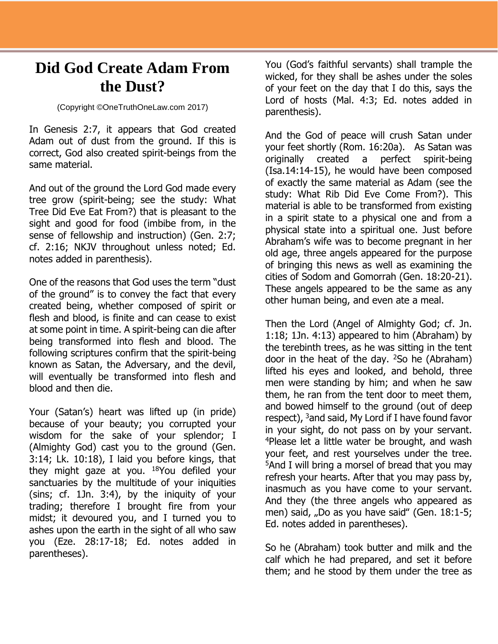## **Did God Create Adam From the Dust?**

## (Copyright ©OneTruthOneLaw.com 2017)

In Genesis 2:7, it appears that God created Adam out of dust from the ground. If this is correct, God also created spirit-beings from the same material.

And out of the ground the Lord God made every tree grow (spirit-being; see the study: What Tree Did Eve Eat From?) that is pleasant to the sight and good for food (imbibe from, in the sense of fellowship and instruction) (Gen. 2:7; cf. 2:16; NKJV throughout unless noted; Ed. notes added in parenthesis).

One of the reasons that God uses the term "dust of the ground" is to convey the fact that every created being, whether composed of spirit or flesh and blood, is finite and can cease to exist at some point in time. A spirit-being can die after being transformed into flesh and blood. The following scriptures confirm that the spirit-being known as Satan, the Adversary, and the devil, will eventually be transformed into flesh and blood and then die.

Your (Satan's) heart was lifted up (in pride) because of your beauty; you corrupted your wisdom for the sake of your splendor; I (Almighty God) cast you to the ground (Gen. 3:14; Lk. 10:18), I laid you before kings, that they might gaze at you.  $18$ You defiled your sanctuaries by the multitude of your iniquities (sins; cf. 1Jn. 3:4), by the iniquity of your trading; therefore I brought fire from your midst; it devoured you, and I turned you to ashes upon the earth in the sight of all who saw you (Eze. 28:17-18; Ed. notes added in parentheses).

You (God's faithful servants) shall trample the wicked, for they shall be ashes under the soles of your feet on the day that I do this, says the Lord of hosts (Mal. 4:3; Ed. notes added in parenthesis).

And the God of peace will crush Satan under your feet shortly (Rom. 16:20a). As Satan was originally created a perfect spirit-being (Isa.14:14-15), he would have been composed of exactly the same material as Adam (see the study: What Rib Did Eve Come From?). This material is able to be transformed from existing in a spirit state to a physical one and from a physical state into a spiritual one. Just before Abraham's wife was to become pregnant in her old age, three angels appeared for the purpose of bringing this news as well as examining the cities of Sodom and Gomorrah (Gen. 18:20-21). These angels appeared to be the same as any other human being, and even ate a meal.

Then the Lord (Angel of Almighty God; cf. Jn. 1:18; 1Jn. 4:13) appeared to him (Abraham) by the terebinth trees, as he was sitting in the tent door in the heat of the day.  $2$ So he (Abraham) lifted his eyes and looked, and behold, three men were standing by him; and when he saw them, he ran from the tent door to meet them, and bowed himself to the ground (out of deep respect), <sup>3</sup>and said, My Lord if I have found favor in your sight, do not pass on by your servant. <sup>4</sup>Please let a little water be brought, and wash your feet, and rest yourselves under the tree. <sup>5</sup>And I will bring a morsel of bread that you may refresh your hearts. After that you may pass by, inasmuch as you have come to your servant. And they (the three angels who appeared as men) said, "Do as you have said" (Gen. 18:1-5; Ed. notes added in parentheses).

So he (Abraham) took butter and milk and the calf which he had prepared, and set it before them; and he stood by them under the tree as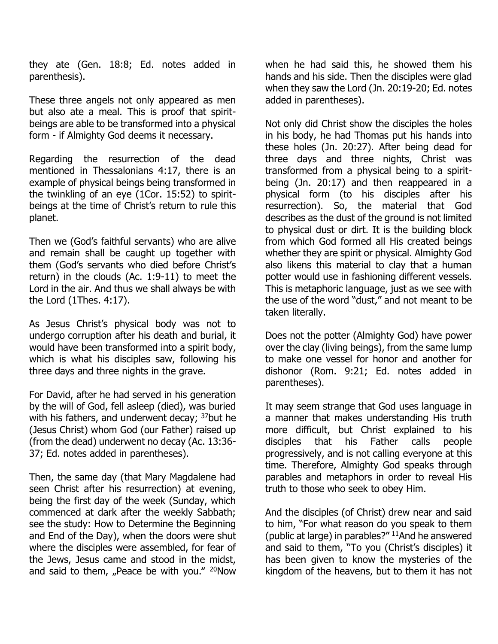they ate (Gen. 18:8; Ed. notes added in parenthesis).

These three angels not only appeared as men but also ate a meal. This is proof that spiritbeings are able to be transformed into a physical form - if Almighty God deems it necessary.

Regarding the resurrection of the dead mentioned in Thessalonians 4:17, there is an example of physical beings being transformed in the twinkling of an eye (1Cor. 15:52) to spiritbeings at the time of Christ's return to rule this planet.

Then we (God's faithful servants) who are alive and remain shall be caught up together with them (God's servants who died before Christ's return) in the clouds (Ac. 1:9-11) to meet the Lord in the air. And thus we shall always be with the Lord (1Thes. 4:17).

As Jesus Christ's physical body was not to undergo corruption after his death and burial, it would have been transformed into a spirit body, which is what his disciples saw, following his three days and three nights in the grave.

For David, after he had served in his generation by the will of God, fell asleep (died), was buried with his fathers, and underwent decay; <sup>37</sup>but he (Jesus Christ) whom God (our Father) raised up (from the dead) underwent no decay (Ac. 13:36- 37; Ed. notes added in parentheses).

Then, the same day (that Mary Magdalene had seen Christ after his resurrection) at evening, being the first day of the week (Sunday, which commenced at dark after the weekly Sabbath; see the study: How to Determine the Beginning and End of the Day), when the doors were shut where the disciples were assembled, for fear of the Jews, Jesus came and stood in the midst, and said to them, "Peace be with you."  $20$ Now

when he had said this, he showed them his hands and his side. Then the disciples were glad when they saw the Lord (Jn. 20:19-20; Ed. notes added in parentheses).

Not only did Christ show the disciples the holes in his body, he had Thomas put his hands into these holes (Jn. 20:27). After being dead for three days and three nights, Christ was transformed from a physical being to a spiritbeing (Jn. 20:17) and then reappeared in a physical form (to his disciples after his resurrection). So, the material that God describes as the dust of the ground is not limited to physical dust or dirt. It is the building block from which God formed all His created beings whether they are spirit or physical. Almighty God also likens this material to clay that a human potter would use in fashioning different vessels. This is metaphoric language, just as we see with the use of the word "dust," and not meant to be taken literally.

Does not the potter (Almighty God) have power over the clay (living beings), from the same lump to make one vessel for honor and another for dishonor (Rom. 9:21; Ed. notes added in parentheses).

It may seem strange that God uses language in a manner that makes understanding His truth more difficult, but Christ explained to his disciples that his Father calls people progressively, and is not calling everyone at this time. Therefore, Almighty God speaks through parables and metaphors in order to reveal His truth to those who seek to obey Him.

And the disciples (of Christ) drew near and said to him, "For what reason do you speak to them (public at large) in parables?" <sup>11</sup>And he answered and said to them, "To you (Christ's disciples) it has been given to know the mysteries of the kingdom of the heavens, but to them it has not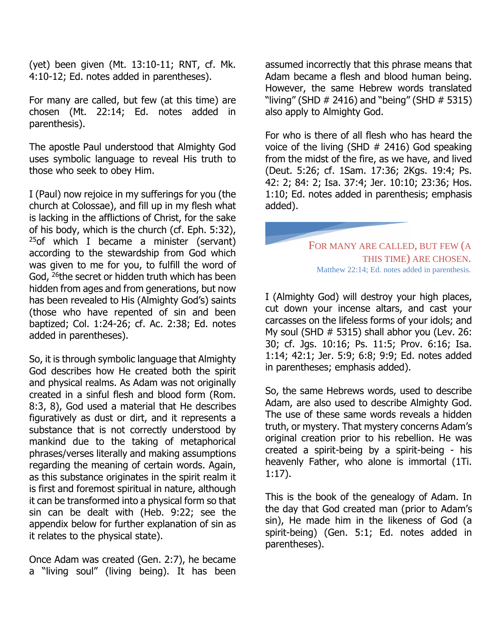(yet) been given (Mt. 13:10-11; RNT, cf. Mk. 4:10-12; Ed. notes added in parentheses).

For many are called, but few (at this time) are chosen (Mt. 22:14; Ed. notes added in parenthesis).

The apostle Paul understood that Almighty God uses symbolic language to reveal His truth to those who seek to obey Him.

I (Paul) now rejoice in my sufferings for you (the church at Colossae), and fill up in my flesh what is lacking in the afflictions of Christ, for the sake of his body, which is the church (cf. Eph. 5:32),  $25$ of which I became a minister (servant) according to the stewardship from God which was given to me for you, to fulfill the word of God, <sup>26</sup>the secret or hidden truth which has been hidden from ages and from generations, but now has been revealed to His (Almighty God's) saints (those who have repented of sin and been baptized; Col. 1:24-26; cf. Ac. 2:38; Ed. notes added in parentheses).

So, it is through symbolic language that Almighty God describes how He created both the spirit and physical realms. As Adam was not originally created in a sinful flesh and blood form (Rom. 8:3, 8), God used a material that He describes figuratively as dust or dirt, and it represents a substance that is not correctly understood by mankind due to the taking of metaphorical phrases/verses literally and making assumptions regarding the meaning of certain words. Again, as this substance originates in the spirit realm it is first and foremost spiritual in nature, although it can be transformed into a physical form so that sin can be dealt with (Heb. 9:22; see the appendix below for further explanation of sin as it relates to the physical state).

Once Adam was created (Gen. 2:7), he became a "living soul" (living being). It has been

assumed incorrectly that this phrase means that Adam became a flesh and blood human being. However, the same Hebrew words translated "living" (SHD  $\#$  2416) and "being" (SHD  $\#$  5315) also apply to Almighty God.

For who is there of all flesh who has heard the voice of the living (SHD  $#$  2416) God speaking from the midst of the fire, as we have, and lived (Deut. 5:26; cf. 1Sam. 17:36; 2Kgs. 19:4; Ps. 42: 2; 84: 2; Isa. 37:4; Jer. 10:10; 23:36; Hos. 1:10; Ed. notes added in parenthesis; emphasis added).

FOR MANY ARE CALLED, BUT FEW (A THIS TIME) ARE CHOSEN. Matthew 22:14; Ed. notes added in parenthesis.

I (Almighty God) will destroy your high places, cut down your incense altars, and cast your carcasses on the lifeless forms of your idols; and My soul (SHD # 5315) shall abhor you (Lev. 26: 30; cf. Jgs. 10:16; Ps. 11:5; Prov. 6:16; Isa. 1:14; 42:1; Jer. 5:9; 6:8; 9:9; Ed. notes added in parentheses; emphasis added).

So, the same Hebrews words, used to describe Adam, are also used to describe Almighty God. The use of these same words reveals a hidden truth, or mystery. That mystery concerns Adam's original creation prior to his rebellion. He was created a spirit-being by a spirit-being - his heavenly Father, who alone is immortal (1Ti. 1:17).

This is the book of the genealogy of Adam. In the day that God created man (prior to Adam's sin), He made him in the likeness of God (a spirit-being) (Gen. 5:1; Ed. notes added in parentheses).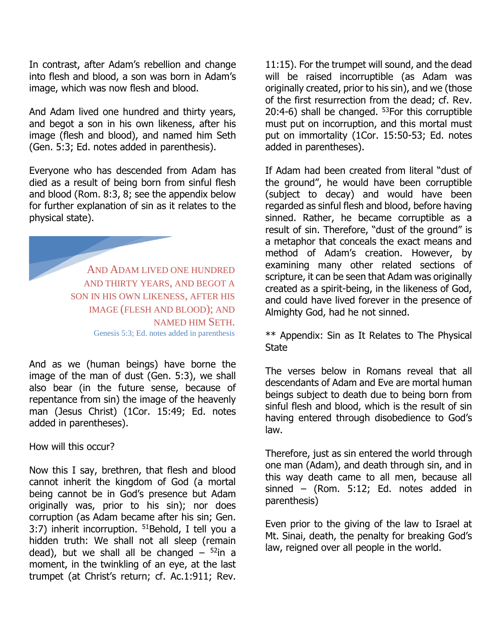In contrast, after Adam's rebellion and change into flesh and blood, a son was born in Adam's image, which was now flesh and blood.

And Adam lived one hundred and thirty years, and begot a son in his own likeness, after his image (flesh and blood), and named him Seth (Gen. 5:3; Ed. notes added in parenthesis).

Everyone who has descended from Adam has died as a result of being born from sinful flesh and blood (Rom. 8:3, 8; see the appendix below for further explanation of sin as it relates to the physical state).

AND ADAM LIVED ONE HUNDRED AND THIRTY YEARS, AND BEGOT A SON IN HIS OWN LIKENESS, AFTER HIS IMAGE (FLESH AND BLOOD); AND NAMED HIM SETH. Genesis 5:3; Ed. notes added in parenthesis

And as we (human beings) have borne the image of the man of dust (Gen. 5:3), we shall also bear (in the future sense, because of repentance from sin) the image of the heavenly man (Jesus Christ) (1Cor. 15:49; Ed. notes added in parentheses).

How will this occur?

Now this I say, brethren, that flesh and blood cannot inherit the kingdom of God (a mortal being cannot be in God's presence but Adam originally was, prior to his sin); nor does corruption (as Adam became after his sin; Gen. 3:7) inherit incorruption.  $51$ Behold, I tell you a hidden truth: We shall not all sleep (remain dead), but we shall all be changed  $-52$ in a moment, in the twinkling of an eye, at the last trumpet (at Christ's return; cf. Ac.1:911; Rev.

11:15). For the trumpet will sound, and the dead will be raised incorruptible (as Adam was originally created, prior to his sin), and we (those of the first resurrection from the dead; cf. Rev. 20:4-6) shall be changed. <sup>53</sup>For this corruptible must put on incorruption, and this mortal must put on immortality (1Cor. 15:50-53; Ed. notes added in parentheses).

If Adam had been created from literal "dust of the ground", he would have been corruptible (subject to decay) and would have been regarded as sinful flesh and blood, before having sinned. Rather, he became corruptible as a result of sin. Therefore, "dust of the ground" is a metaphor that conceals the exact means and method of Adam's creation. However, by examining many other related sections of scripture, it can be seen that Adam was originally created as a spirit-being, in the likeness of God, and could have lived forever in the presence of Almighty God, had he not sinned.

\*\* Appendix: Sin as It Relates to The Physical State

The verses below in Romans reveal that all descendants of Adam and Eve are mortal human beings subject to death due to being born from sinful flesh and blood, which is the result of sin having entered through disobedience to God's law.

Therefore, just as sin entered the world through one man (Adam), and death through sin, and in this way death came to all men, because all sinned – (Rom. 5:12; Ed. notes added in parenthesis)

Even prior to the giving of the law to Israel at Mt. Sinai, death, the penalty for breaking God's law, reigned over all people in the world.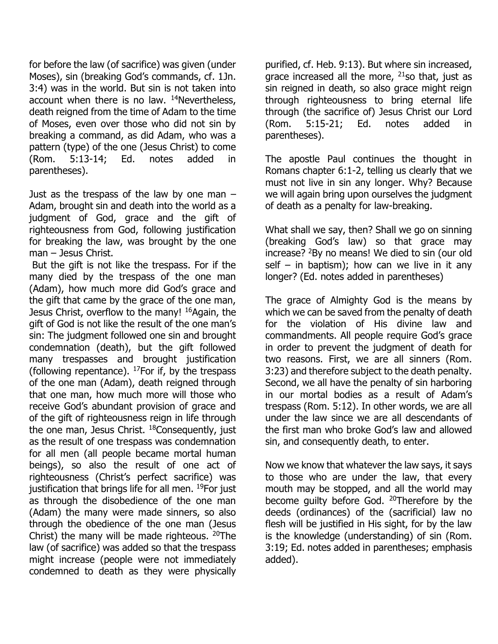for before the law (of sacrifice) was given (under Moses), sin (breaking God's commands, cf. 1Jn. 3:4) was in the world. But sin is not taken into account when there is no law.  $14$ Nevertheless, death reigned from the time of Adam to the time of Moses, even over those who did not sin by breaking a command, as did Adam, who was a pattern (type) of the one (Jesus Christ) to come (Rom. 5:13-14; Ed. notes added in parentheses).

Just as the trespass of the law by one man  $-$ Adam, brought sin and death into the world as a judgment of God, grace and the gift of righteousness from God, following justification for breaking the law, was brought by the one man – Jesus Christ.

But the gift is not like the trespass. For if the many died by the trespass of the one man (Adam), how much more did God's grace and the gift that came by the grace of the one man, Jesus Christ, overflow to the many! <sup>16</sup>Again, the gift of God is not like the result of the one man's sin: The judgment followed one sin and brought condemnation (death), but the gift followed many trespasses and brought justification (following repentance).  $^{17}$ For if, by the trespass of the one man (Adam), death reigned through that one man, how much more will those who receive God's abundant provision of grace and of the gift of righteousness reign in life through the one man, Jesus Christ. <sup>18</sup>Consequently, just as the result of one trespass was condemnation for all men (all people became mortal human beings), so also the result of one act of righteousness (Christ's perfect sacrifice) was justification that brings life for all men. <sup>19</sup>For just as through the disobedience of the one man (Adam) the many were made sinners, so also through the obedience of the one man (Jesus Christ) the many will be made righteous. <sup>20</sup>The law (of sacrifice) was added so that the trespass might increase (people were not immediately condemned to death as they were physically

purified, cf. Heb. 9:13). But where sin increased, grace increased all the more,  $21$ so that, just as sin reigned in death, so also grace might reign through righteousness to bring eternal life through (the sacrifice of) Jesus Christ our Lord (Rom. 5:15-21; Ed. notes added in parentheses).

The apostle Paul continues the thought in Romans chapter 6:1-2, telling us clearly that we must not live in sin any longer. Why? Because we will again bring upon ourselves the judgment of death as a penalty for law-breaking.

What shall we say, then? Shall we go on sinning (breaking God's law) so that grace may increase? <sup>2</sup>By no means! We died to sin (our old self – in baptism); how can we live in it any longer? (Ed. notes added in parentheses)

The grace of Almighty God is the means by which we can be saved from the penalty of death for the violation of His divine law and commandments. All people require God's grace in order to prevent the judgment of death for two reasons. First, we are all sinners (Rom. 3:23) and therefore subject to the death penalty. Second, we all have the penalty of sin harboring in our mortal bodies as a result of Adam's trespass (Rom. 5:12). In other words, we are all under the law since we are all descendants of the first man who broke God's law and allowed sin, and consequently death, to enter.

Now we know that whatever the law says, it says to those who are under the law, that every mouth may be stopped, and all the world may become guilty before God. <sup>20</sup>Therefore by the deeds (ordinances) of the (sacrificial) law no flesh will be justified in His sight, for by the law is the knowledge (understanding) of sin (Rom. 3:19; Ed. notes added in parentheses; emphasis added).